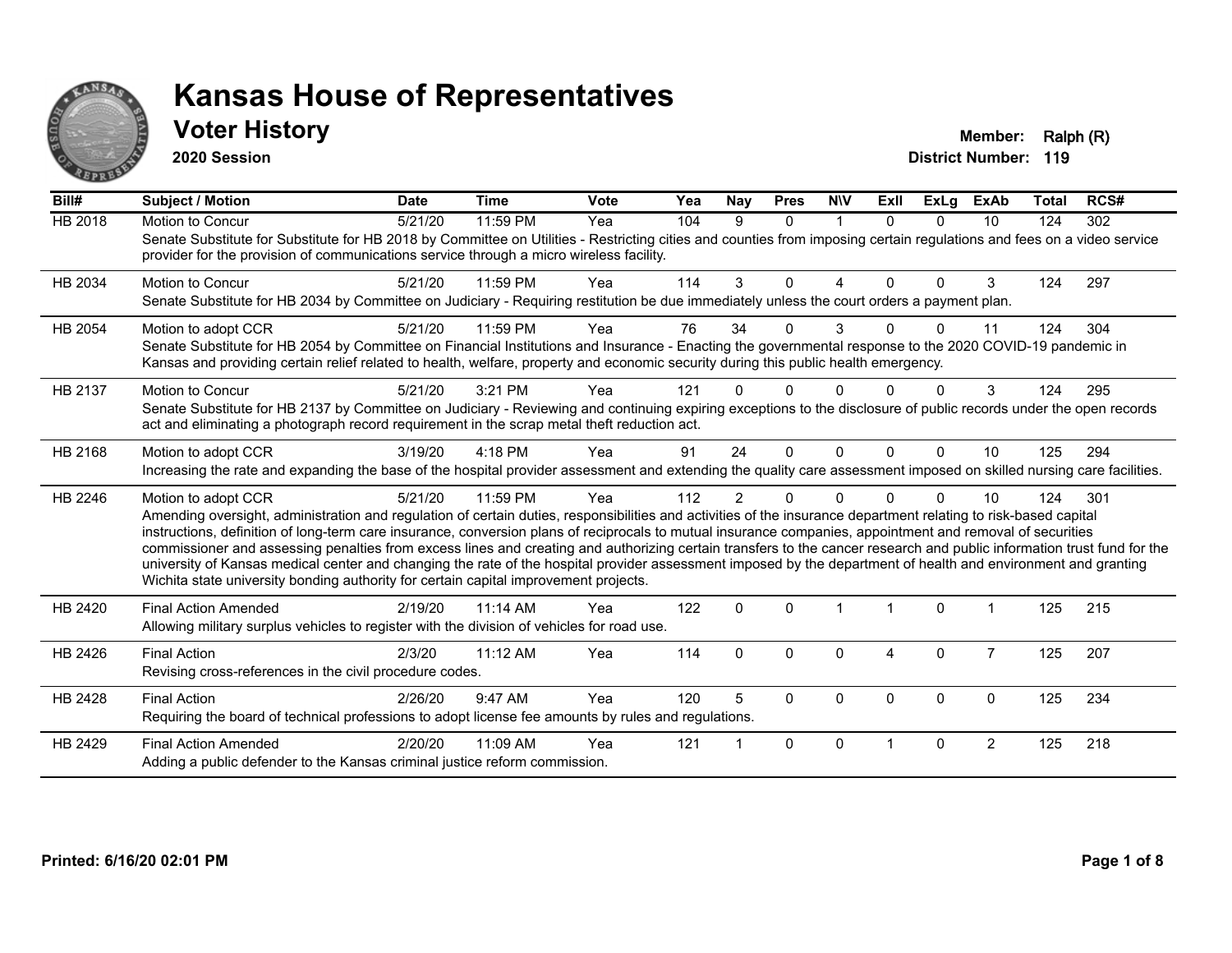

## **Voter History Member: Ralph (R)**

**2020 Session**

| Bill#          | <b>Subject / Motion</b>                                                                                                                                                                                                                                                                                                                                                                                                                                                                                                                                                                                                                                                                                                                                                                  | <b>Date</b> | <b>Time</b> | <b>Vote</b> | Yea | <b>Nay</b>     | <b>Pres</b>  | <b>NIV</b>   | ExII     | <b>ExLg</b> | <b>ExAb</b>    | <b>Total</b> | RCS# |
|----------------|------------------------------------------------------------------------------------------------------------------------------------------------------------------------------------------------------------------------------------------------------------------------------------------------------------------------------------------------------------------------------------------------------------------------------------------------------------------------------------------------------------------------------------------------------------------------------------------------------------------------------------------------------------------------------------------------------------------------------------------------------------------------------------------|-------------|-------------|-------------|-----|----------------|--------------|--------------|----------|-------------|----------------|--------------|------|
| <b>HB 2018</b> | Motion to Concur<br>Senate Substitute for Substitute for HB 2018 by Committee on Utilities - Restricting cities and counties from imposing certain regulations and fees on a video service<br>provider for the provision of communications service through a micro wireless facility.                                                                                                                                                                                                                                                                                                                                                                                                                                                                                                    | 5/21/20     | 11:59 PM    | Yea         | 104 | 9              | $\Omega$     | $\mathbf 1$  | $\Omega$ | $\Omega$    | 10             | 124          | 302  |
| HB 2034        | <b>Motion to Concur</b><br>Senate Substitute for HB 2034 by Committee on Judiciary - Requiring restitution be due immediately unless the court orders a payment plan.                                                                                                                                                                                                                                                                                                                                                                                                                                                                                                                                                                                                                    | 5/21/20     | 11:59 PM    | Yea         | 114 | 3              | $\Omega$     | 4            | $\Omega$ | $\Omega$    | 3              | 124          | 297  |
| HB 2054        | Motion to adopt CCR<br>Senate Substitute for HB 2054 by Committee on Financial Institutions and Insurance - Enacting the governmental response to the 2020 COVID-19 pandemic in<br>Kansas and providing certain relief related to health, welfare, property and economic security during this public health emergency.                                                                                                                                                                                                                                                                                                                                                                                                                                                                   | 5/21/20     | 11:59 PM    | Yea         | 76  | 34             | $\Omega$     | 3            |          | U           | 11             | 124          | 304  |
| HB 2137        | Motion to Concur<br>Senate Substitute for HB 2137 by Committee on Judiciary - Reviewing and continuing expiring exceptions to the disclosure of public records under the open records<br>act and eliminating a photograph record requirement in the scrap metal theft reduction act.                                                                                                                                                                                                                                                                                                                                                                                                                                                                                                     | 5/21/20     | 3:21 PM     | Yea         | 121 |                | U            |              |          |             | 3              | 124          | 295  |
| HB 2168        | Motion to adopt CCR<br>Increasing the rate and expanding the base of the hospital provider assessment and extending the quality care assessment imposed on skilled nursing care facilities.                                                                                                                                                                                                                                                                                                                                                                                                                                                                                                                                                                                              | 3/19/20     | 4:18 PM     | Yea         | 91  | 24             | $\Omega$     | $\mathbf{0}$ | $\Omega$ | $\Omega$    | 10             | 125          | 294  |
| HB 2246        | Motion to adopt CCR<br>Amending oversight, administration and regulation of certain duties, responsibilities and activities of the insurance department relating to risk-based capital<br>instructions, definition of long-term care insurance, conversion plans of reciprocals to mutual insurance companies, appointment and removal of securities<br>commissioner and assessing penalties from excess lines and creating and authorizing certain transfers to the cancer research and public information trust fund for the<br>university of Kansas medical center and changing the rate of the hospital provider assessment imposed by the department of health and environment and granting<br>Wichita state university bonding authority for certain capital improvement projects. | 5/21/20     | 11:59 PM    | Yea         | 112 | $\overline{2}$ | $\Omega$     | $\Omega$     |          | $\Omega$    | 10             | 124          | 301  |
| HB 2420        | <b>Final Action Amended</b><br>Allowing military surplus vehicles to register with the division of vehicles for road use.                                                                                                                                                                                                                                                                                                                                                                                                                                                                                                                                                                                                                                                                | 2/19/20     | 11:14 AM    | Yea         | 122 | $\mathbf{0}$   | $\Omega$     |              |          | $\Omega$    |                | 125          | 215  |
| HB 2426        | <b>Final Action</b><br>Revising cross-references in the civil procedure codes.                                                                                                                                                                                                                                                                                                                                                                                                                                                                                                                                                                                                                                                                                                           | 2/3/20      | $11:12$ AM  | Yea         | 114 | $\Omega$       | $\Omega$     | $\Omega$     | 4        | $\Omega$    | $\overline{7}$ | 125          | 207  |
| HB 2428        | <b>Final Action</b><br>Requiring the board of technical professions to adopt license fee amounts by rules and regulations.                                                                                                                                                                                                                                                                                                                                                                                                                                                                                                                                                                                                                                                               | 2/26/20     | 9:47 AM     | Yea         | 120 | 5              | $\Omega$     | $\Omega$     | $\Omega$ | $\Omega$    | $\mathbf{0}$   | 125          | 234  |
| HB 2429        | <b>Final Action Amended</b><br>Adding a public defender to the Kansas criminal justice reform commission.                                                                                                                                                                                                                                                                                                                                                                                                                                                                                                                                                                                                                                                                                | 2/20/20     | 11:09 AM    | Yea         | 121 |                | $\mathbf{0}$ | $\Omega$     |          | $\Omega$    | $\overline{2}$ | 125          | 218  |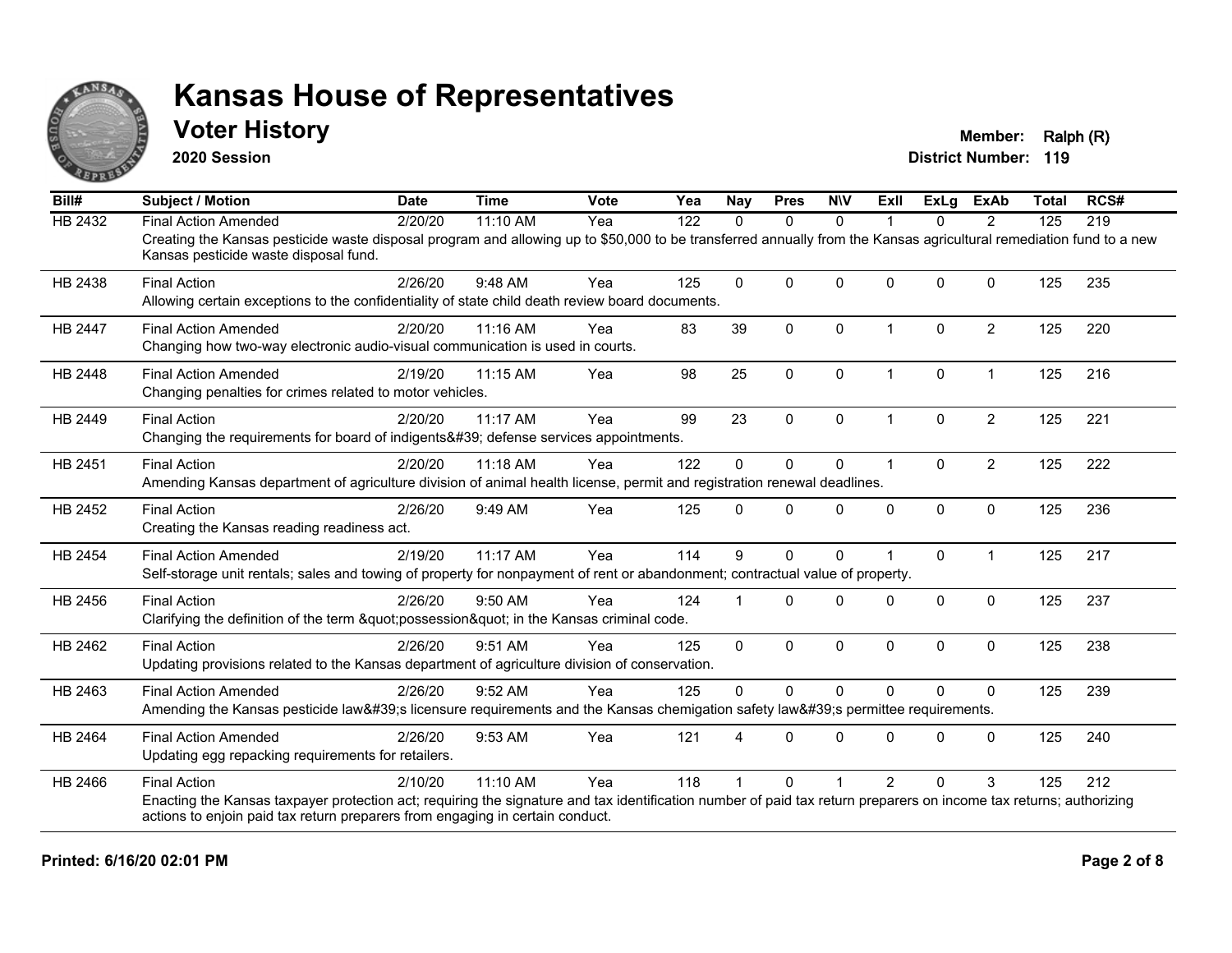

## **Voter History Member: Ralph (R)**

**2020 Session**

| Bill#          | <b>Subject / Motion</b>                                                                                                                                                                                                                                                    | <b>Date</b> | <b>Time</b> | <b>Vote</b> | Yea | <b>Nay</b>   | <b>Pres</b>  | <b>NIV</b>   | Exll                 | ExLg        | <b>ExAb</b>    | <b>Total</b> | RCS# |
|----------------|----------------------------------------------------------------------------------------------------------------------------------------------------------------------------------------------------------------------------------------------------------------------------|-------------|-------------|-------------|-----|--------------|--------------|--------------|----------------------|-------------|----------------|--------------|------|
| HB 2432        | <b>Final Action Amended</b>                                                                                                                                                                                                                                                | 2/20/20     | 11:10 AM    | Yea         | 122 | $\Omega$     | $\mathbf{0}$ | $\mathbf{0}$ |                      | 0           | $\overline{2}$ | 125          | 219  |
|                | Creating the Kansas pesticide waste disposal program and allowing up to \$50,000 to be transferred annually from the Kansas agricultural remediation fund to a new<br>Kansas pesticide waste disposal fund.                                                                |             |             |             |     |              |              |              |                      |             |                |              |      |
| HB 2438        | <b>Final Action</b><br>Allowing certain exceptions to the confidentiality of state child death review board documents.                                                                                                                                                     | 2/26/20     | 9:48 AM     | Yea         | 125 | $\mathbf{0}$ | $\Omega$     | $\Omega$     | $\Omega$             | $\Omega$    | $\Omega$       | 125          | 235  |
|                |                                                                                                                                                                                                                                                                            |             |             |             |     |              |              |              |                      |             |                |              |      |
| <b>HB 2447</b> | <b>Final Action Amended</b><br>Changing how two-way electronic audio-visual communication is used in courts.                                                                                                                                                               | 2/20/20     | 11:16 AM    | Yea         | 83  | 39           | $\mathbf{0}$ | $\mathbf{0}$ | $\blacktriangleleft$ | $\Omega$    | $\overline{2}$ | 125          | 220  |
| HB 2448        | <b>Final Action Amended</b><br>Changing penalties for crimes related to motor vehicles.                                                                                                                                                                                    | 2/19/20     | 11:15 AM    | Yea         | 98  | 25           | 0            | $\mathbf 0$  | $\mathbf 1$          | $\pmb{0}$   | $\mathbf{1}$   | 125          | 216  |
| HB 2449        | <b>Final Action</b><br>Changing the requirements for board of indigents' defense services appointments.                                                                                                                                                                    | 2/20/20     | 11:17 AM    | Yea         | 99  | 23           | $\mathbf{0}$ | $\Omega$     | 1                    | $\Omega$    | $\overline{2}$ | 125          | 221  |
| HB 2451        | <b>Final Action</b><br>Amending Kansas department of agriculture division of animal health license, permit and registration renewal deadlines.                                                                                                                             | 2/20/20     | 11:18 AM    | Yea         | 122 | $\Omega$     | $\mathbf 0$  | 0            | $\blacktriangleleft$ | $\Omega$    | $\overline{2}$ | 125          | 222  |
| HB 2452        | <b>Final Action</b><br>Creating the Kansas reading readiness act.                                                                                                                                                                                                          | 2/26/20     | 9:49 AM     | Yea         | 125 | $\Omega$     | $\mathbf{0}$ | $\Omega$     | $\Omega$             | $\mathbf 0$ | $\mathbf 0$    | 125          | 236  |
| HB 2454        | <b>Final Action Amended</b><br>Self-storage unit rentals; sales and towing of property for nonpayment of rent or abandonment; contractual value of property.                                                                                                               | 2/19/20     | 11:17 AM    | Yea         | 114 | 9            | $\mathbf{0}$ | $\Omega$     |                      | $\Omega$    | $\mathbf{1}$   | 125          | 217  |
| HB 2456        | <b>Final Action</b><br>Clarifying the definition of the term "possession" in the Kansas criminal code.                                                                                                                                                                     | 2/26/20     | $9:50$ AM   | Yea         | 124 |              | $\Omega$     | $\Omega$     | $\Omega$             | $\Omega$    | $\mathbf{0}$   | 125          | 237  |
| HB 2462        | <b>Final Action</b><br>Updating provisions related to the Kansas department of agriculture division of conservation.                                                                                                                                                       | 2/26/20     | 9:51 AM     | Yea         | 125 | $\Omega$     | $\mathbf 0$  | 0            | $\mathbf{0}$         | 0           | $\mathbf 0$    | 125          | 238  |
| HB 2463        | <b>Final Action Amended</b><br>Amending the Kansas pesticide law's licensure requirements and the Kansas chemigation safety law's permittee requirements.                                                                                                                  | 2/26/20     | 9:52 AM     | Yea         | 125 | $\Omega$     | $\Omega$     | $\mathbf{0}$ | $\Omega$             | $\Omega$    | $\mathbf{0}$   | 125          | 239  |
| HB 2464        | <b>Final Action Amended</b><br>Updating egg repacking requirements for retailers.                                                                                                                                                                                          | 2/26/20     | 9:53 AM     | Yea         | 121 | 4            | $\Omega$     | $\Omega$     | $\Omega$             | $\Omega$    | $\Omega$       | 125          | 240  |
| HB 2466        | <b>Final Action</b><br>Enacting the Kansas taxpayer protection act; requiring the signature and tax identification number of paid tax return preparers on income tax returns; authorizing<br>actions to enjoin paid tax return preparers from engaging in certain conduct. | 2/10/20     | 11:10 AM    | Yea         | 118 |              | $\Omega$     |              | $\overline{2}$       | $\Omega$    | 3              | 125          | 212  |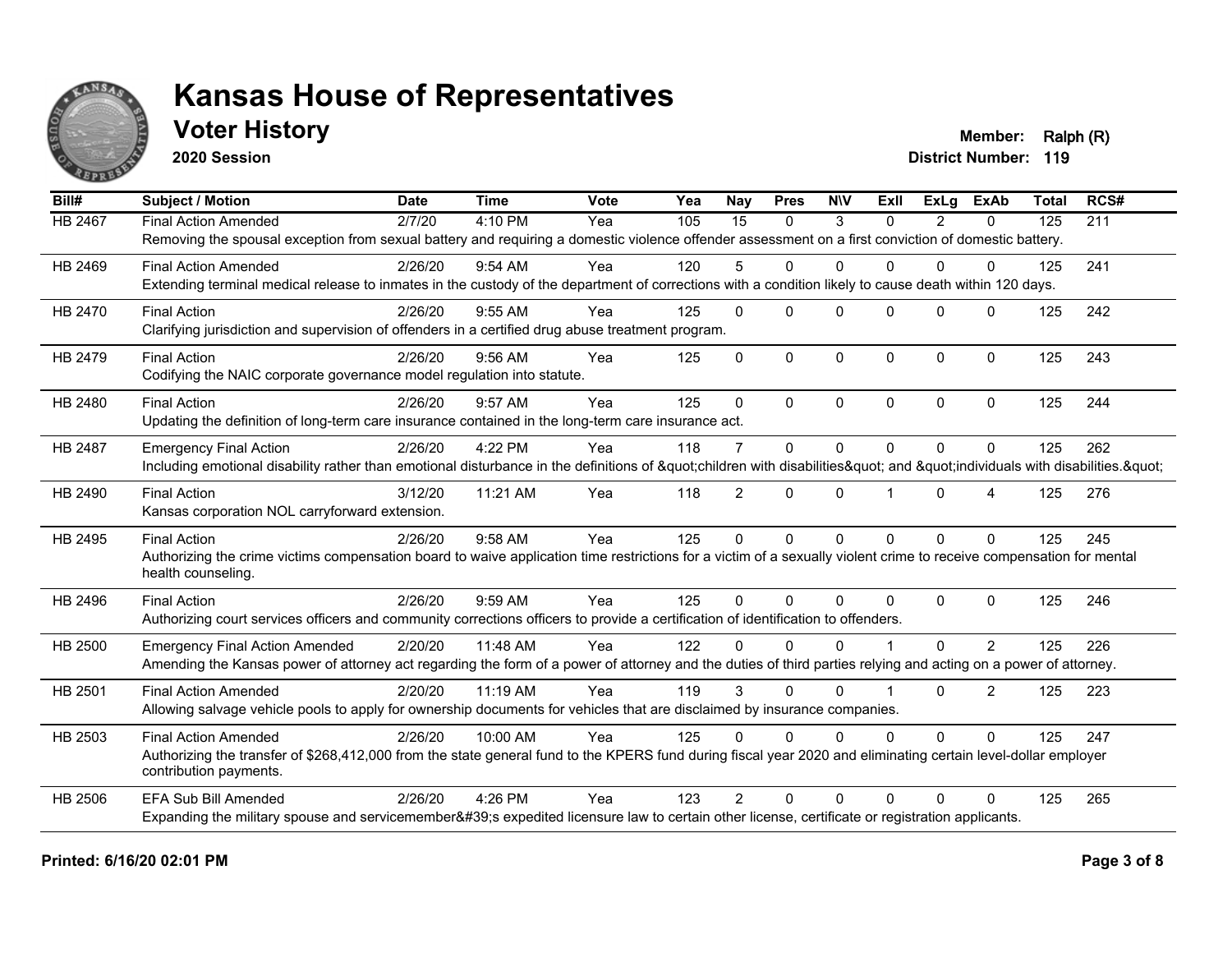

## **Voter History Member: Ralph (R)**

**2020 Session**

| Bill#          | <b>Subject / Motion</b>                                                                                                                                             | <b>Date</b> | <b>Time</b> | Vote | $\overline{Y}$ ea | Nay             | <b>Pres</b>  | <b>NIV</b>   | ExII         | ExLa           | <b>ExAb</b>    | <b>Total</b> | RCS# |
|----------------|---------------------------------------------------------------------------------------------------------------------------------------------------------------------|-------------|-------------|------|-------------------|-----------------|--------------|--------------|--------------|----------------|----------------|--------------|------|
| <b>HB 2467</b> | <b>Final Action Amended</b>                                                                                                                                         | 2/7/20      | 4:10 PM     | Yea  | 105               | $\overline{15}$ | $\mathbf{0}$ | 3            | $\Omega$     | $\overline{2}$ | $\mathbf{0}$   | 125          | 211  |
|                | Removing the spousal exception from sexual battery and requiring a domestic violence offender assessment on a first conviction of domestic battery.                 |             |             |      |                   |                 |              |              |              |                |                |              |      |
| HB 2469        | <b>Final Action Amended</b>                                                                                                                                         | 2/26/20     | $9:54$ AM   | Yea  | 120               | 5               | $\Omega$     | $\Omega$     | $\Omega$     | $\Omega$       | $\Omega$       | 125          | 241  |
|                | Extending terminal medical release to inmates in the custody of the department of corrections with a condition likely to cause death within 120 days.               |             |             |      |                   |                 |              |              |              |                |                |              |      |
| HB 2470        | <b>Final Action</b>                                                                                                                                                 | 2/26/20     | 9:55 AM     | Yea  | 125               | $\mathbf{0}$    | $\Omega$     | $\Omega$     | $\Omega$     | $\Omega$       | $\mathbf{0}$   | 125          | 242  |
|                | Clarifying jurisdiction and supervision of offenders in a certified drug abuse treatment program.                                                                   |             |             |      |                   |                 |              |              |              |                |                |              |      |
| HB 2479        | <b>Final Action</b>                                                                                                                                                 | 2/26/20     | 9:56 AM     | Yea  | 125               | $\Omega$        | $\mathbf 0$  | $\mathbf 0$  | $\mathbf{0}$ | $\mathbf 0$    | $\mathbf 0$    | 125          | 243  |
|                | Codifying the NAIC corporate governance model regulation into statute.                                                                                              |             |             |      |                   |                 |              |              |              |                |                |              |      |
| HB 2480        | <b>Final Action</b>                                                                                                                                                 | 2/26/20     | 9:57 AM     | Yea  | 125               | $\Omega$        | $\Omega$     | $\Omega$     | $\Omega$     | $\Omega$       | $\Omega$       | 125          | 244  |
|                | Updating the definition of long-term care insurance contained in the long-term care insurance act.                                                                  |             |             |      |                   |                 |              |              |              |                |                |              |      |
| <b>HB 2487</b> | <b>Emergency Final Action</b>                                                                                                                                       | 2/26/20     | 4:22 PM     | Yea  | 118               | $\overline{7}$  | $\mathbf{0}$ | $\Omega$     | $\Omega$     | $\Omega$       | $\mathbf{0}$   | 125          | 262  |
|                | Including emotional disability rather than emotional disturbance in the definitions of "children with disabilities" and "individuals with disabilities. "           |             |             |      |                   |                 |              |              |              |                |                |              |      |
| HB 2490        | <b>Final Action</b>                                                                                                                                                 | 3/12/20     | 11:21 AM    | Yea  | 118               | $\overline{2}$  | $\mathbf{0}$ | $\Omega$     |              | $\Omega$       | $\overline{4}$ | 125          | 276  |
|                | Kansas corporation NOL carryforward extension.                                                                                                                      |             |             |      |                   |                 |              |              |              |                |                |              |      |
| HB 2495        | <b>Final Action</b>                                                                                                                                                 | 2/26/20     | 9:58 AM     | Yea  | 125               | $\Omega$        | $\mathbf{0}$ | $\mathbf{0}$ | $\Omega$     | $\Omega$       | $\mathbf{0}$   | 125          | 245  |
|                | Authorizing the crime victims compensation board to waive application time restrictions for a victim of a sexually violent crime to receive compensation for mental |             |             |      |                   |                 |              |              |              |                |                |              |      |
|                | health counseling.                                                                                                                                                  |             |             |      |                   |                 |              |              |              |                |                |              |      |
| HB 2496        | <b>Final Action</b>                                                                                                                                                 | 2/26/20     | 9:59 AM     | Yea  | 125               | $\Omega$        | $\Omega$     | $\Omega$     | $\Omega$     | $\Omega$       | $\mathbf{0}$   | 125          | 246  |
|                | Authorizing court services officers and community corrections officers to provide a certification of identification to offenders.                                   |             |             |      |                   |                 |              |              |              |                |                |              |      |
| <b>HB 2500</b> | <b>Emergency Final Action Amended</b>                                                                                                                               | 2/20/20     | 11:48 AM    | Yea  | 122               | $\Omega$        | $\Omega$     | $\Omega$     |              | $\Omega$       | $\overline{2}$ | 125          | 226  |
|                | Amending the Kansas power of attorney act regarding the form of a power of attorney and the duties of third parties relying and acting on a power of attorney.      |             |             |      |                   |                 |              |              |              |                |                |              |      |
| <b>HB 2501</b> | <b>Final Action Amended</b>                                                                                                                                         | 2/20/20     | 11:19 AM    | Yea  | 119               | 3               | $\Omega$     | $\Omega$     |              | $\Omega$       | 2              | 125          | 223  |
|                | Allowing salvage vehicle pools to apply for ownership documents for vehicles that are disclaimed by insurance companies.                                            |             |             |      |                   |                 |              |              |              |                |                |              |      |
| HB 2503        | <b>Final Action Amended</b>                                                                                                                                         | 2/26/20     | 10:00 AM    | Yea  | 125               | $\Omega$        | $\Omega$     | $\Omega$     | $\Omega$     | $\Omega$       | $\mathbf{0}$   | 125          | 247  |
|                | Authorizing the transfer of \$268,412,000 from the state general fund to the KPERS fund during fiscal year 2020 and eliminating certain level-dollar employer       |             |             |      |                   |                 |              |              |              |                |                |              |      |
|                | contribution payments.                                                                                                                                              |             |             |      |                   |                 |              |              |              |                |                |              |      |
| HB 2506        | <b>EFA Sub Bill Amended</b>                                                                                                                                         | 2/26/20     | 4:26 PM     | Yea  | 123               | $\mathcal{P}$   | $\Omega$     | $\Omega$     | $\Omega$     | $\Omega$       | $\Omega$       | 125          | 265  |
|                | Expanding the military spouse and servicemember's expedited licensure law to certain other license, certificate or registration applicants.                         |             |             |      |                   |                 |              |              |              |                |                |              |      |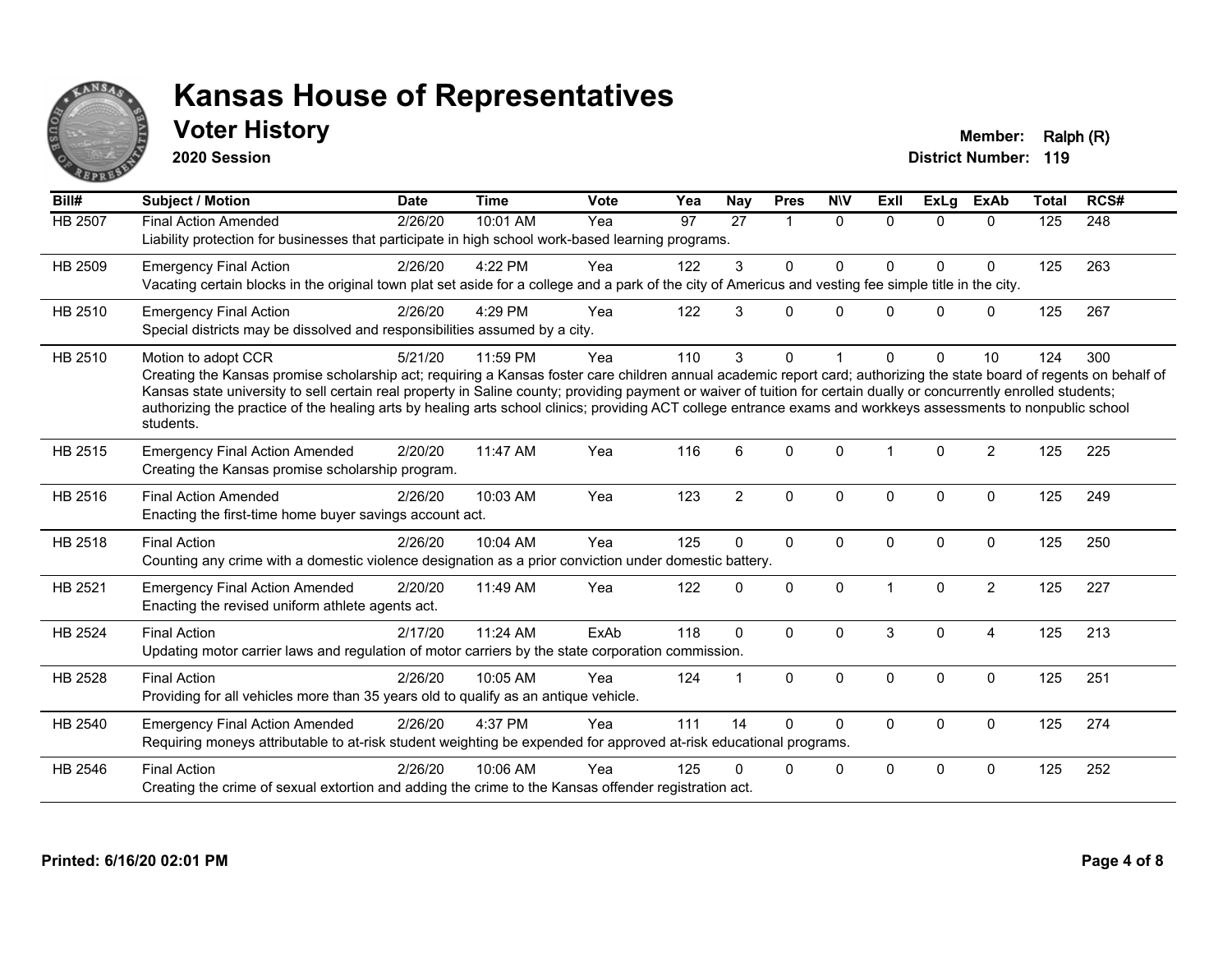

## **Voter History Member: Ralph (R)**

**2020 Session**

| Bill#          | Subject / Motion                                                                                                                                                                                                                                                                                                                                                                                                                                                                                                                                    | <b>Date</b> | <b>Time</b> | Vote | Yea | <b>Nay</b>     | <b>Pres</b>          | <b>NIV</b>   | <b>ExII</b>          | <b>ExLg</b>  | <b>ExAb</b>    | <b>Total</b> | RCS# |
|----------------|-----------------------------------------------------------------------------------------------------------------------------------------------------------------------------------------------------------------------------------------------------------------------------------------------------------------------------------------------------------------------------------------------------------------------------------------------------------------------------------------------------------------------------------------------------|-------------|-------------|------|-----|----------------|----------------------|--------------|----------------------|--------------|----------------|--------------|------|
| <b>HB 2507</b> | <b>Final Action Amended</b><br>Liability protection for businesses that participate in high school work-based learning programs.                                                                                                                                                                                                                                                                                                                                                                                                                    | 2/26/20     | 10:01 AM    | Yea  | 97  | 27             | $\blacktriangleleft$ | $\mathbf{0}$ | $\Omega$             | $\Omega$     | $\Omega$       | 125          | 248  |
| HB 2509        | <b>Emergency Final Action</b><br>Vacating certain blocks in the original town plat set aside for a college and a park of the city of Americus and vesting fee simple title in the city.                                                                                                                                                                                                                                                                                                                                                             | 2/26/20     | 4:22 PM     | Yea  | 122 | 3              | $\Omega$             | $\Omega$     | $\Omega$             | $\Omega$     | $\mathbf{0}$   | 125          | 263  |
| HB 2510        | <b>Emergency Final Action</b><br>Special districts may be dissolved and responsibilities assumed by a city.                                                                                                                                                                                                                                                                                                                                                                                                                                         | 2/26/20     | 4:29 PM     | Yea  | 122 | 3              | 0                    | $\mathbf{0}$ | $\Omega$             | $\Omega$     | $\mathbf{0}$   | 125          | 267  |
| HB 2510        | Motion to adopt CCR<br>Creating the Kansas promise scholarship act; requiring a Kansas foster care children annual academic report card; authorizing the state board of regents on behalf of<br>Kansas state university to sell certain real property in Saline county; providing payment or waiver of tuition for certain dually or concurrently enrolled students;<br>authorizing the practice of the healing arts by healing arts school clinics; providing ACT college entrance exams and workkeys assessments to nonpublic school<br>students. | 5/21/20     | 11:59 PM    | Yea  | 110 | 3              | $\Omega$             |              | $\Omega$             | $\Omega$     | 10             | 124          | 300  |
| HB 2515        | <b>Emergency Final Action Amended</b><br>Creating the Kansas promise scholarship program.                                                                                                                                                                                                                                                                                                                                                                                                                                                           | 2/20/20     | 11:47 AM    | Yea  | 116 | 6              | $\Omega$             | $\Omega$     | $\blacktriangleleft$ | $\Omega$     | 2              | 125          | 225  |
| HB 2516        | <b>Final Action Amended</b><br>Enacting the first-time home buyer savings account act.                                                                                                                                                                                                                                                                                                                                                                                                                                                              | 2/26/20     | 10:03 AM    | Yea  | 123 | $\overline{2}$ | $\mathbf{0}$         | $\Omega$     | $\Omega$             | $\mathbf{0}$ | $\mathbf{0}$   | 125          | 249  |
| HB 2518        | <b>Final Action</b><br>Counting any crime with a domestic violence designation as a prior conviction under domestic battery.                                                                                                                                                                                                                                                                                                                                                                                                                        | 2/26/20     | 10:04 AM    | Yea  | 125 | $\Omega$       | $\mathbf{0}$         | $\Omega$     | $\mathbf{0}$         | $\Omega$     | $\mathbf{0}$   | 125          | 250  |
| HB 2521        | <b>Emergency Final Action Amended</b><br>Enacting the revised uniform athlete agents act.                                                                                                                                                                                                                                                                                                                                                                                                                                                           | 2/20/20     | 11:49 AM    | Yea  | 122 | $\Omega$       | $\Omega$             | $\Omega$     |                      | $\Omega$     | $\overline{2}$ | 125          | 227  |
| HB 2524        | <b>Final Action</b><br>Updating motor carrier laws and regulation of motor carriers by the state corporation commission.                                                                                                                                                                                                                                                                                                                                                                                                                            | 2/17/20     | 11:24 AM    | ExAb | 118 | $\mathbf{0}$   | $\Omega$             | $\Omega$     | 3                    | $\Omega$     | $\overline{4}$ | 125          | 213  |
| HB 2528        | <b>Final Action</b><br>Providing for all vehicles more than 35 years old to qualify as an antique vehicle.                                                                                                                                                                                                                                                                                                                                                                                                                                          | 2/26/20     | 10:05 AM    | Yea  | 124 |                | $\mathbf{0}$         | $\Omega$     | $\Omega$             | $\Omega$     | $\mathbf{0}$   | 125          | 251  |
| HB 2540        | <b>Emergency Final Action Amended</b><br>Requiring moneys attributable to at-risk student weighting be expended for approved at-risk educational programs.                                                                                                                                                                                                                                                                                                                                                                                          | 2/26/20     | 4:37 PM     | Yea  | 111 | 14             | 0                    | $\Omega$     | $\Omega$             | $\mathbf 0$  | $\mathbf 0$    | 125          | 274  |
| HB 2546        | <b>Final Action</b><br>Creating the crime of sexual extortion and adding the crime to the Kansas offender registration act.                                                                                                                                                                                                                                                                                                                                                                                                                         | 2/26/20     | 10:06 AM    | Yea  | 125 | U              | 0                    | 0            | $\Omega$             | 0            | $\mathbf 0$    | 125          | 252  |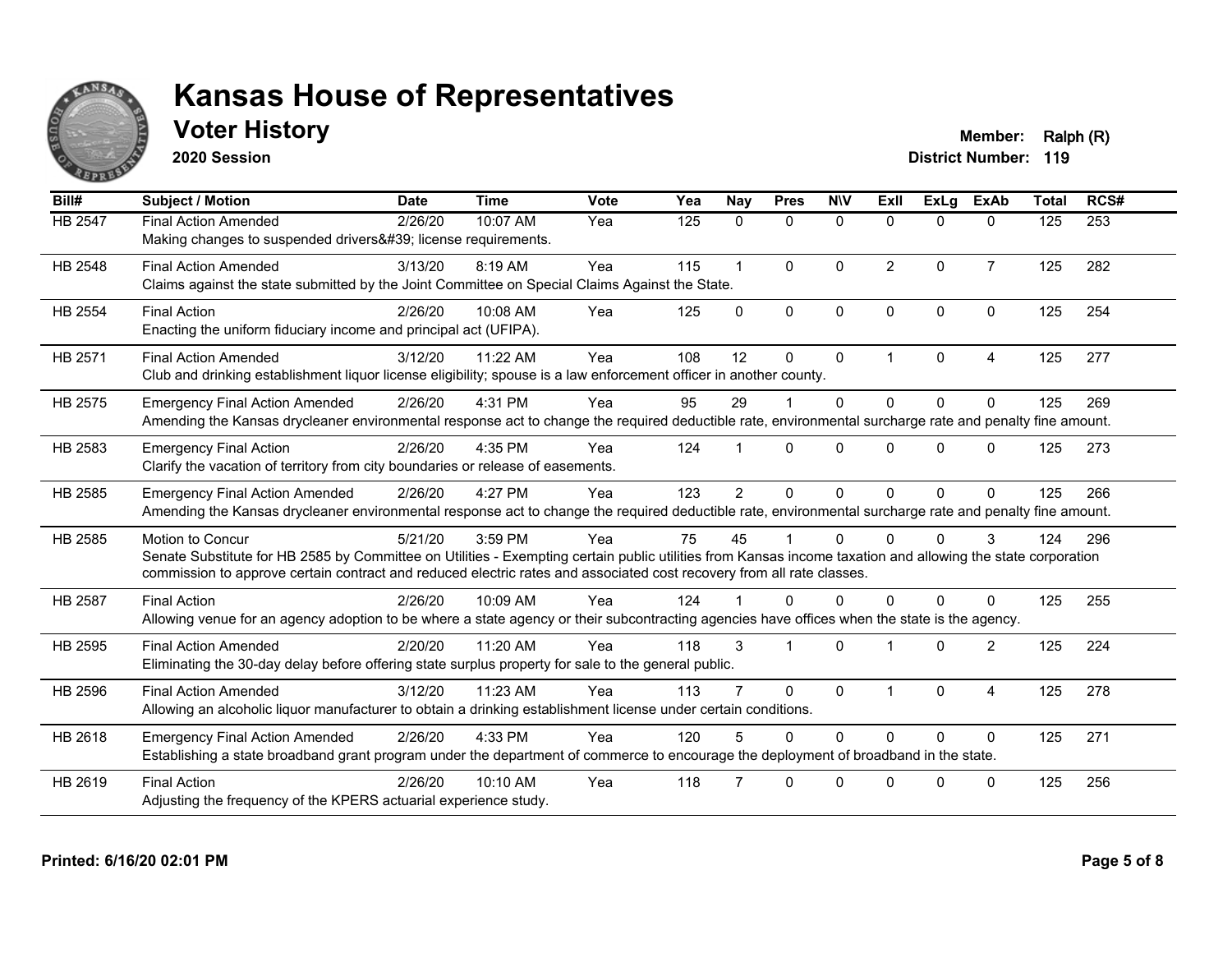

## **Voter History Member: Ralph (R)**

**2020 Session**

| Bill#          | <b>Subject / Motion</b>                                                                                                                                                                                                                                                                                  | <b>Date</b> | <b>Time</b> | <b>Vote</b> | Yea | Nay            | <b>Pres</b>    | <b>NIV</b>   | ExII           | <b>ExLa</b> | <b>ExAb</b>    | <b>Total</b> | RCS# |
|----------------|----------------------------------------------------------------------------------------------------------------------------------------------------------------------------------------------------------------------------------------------------------------------------------------------------------|-------------|-------------|-------------|-----|----------------|----------------|--------------|----------------|-------------|----------------|--------------|------|
| HB 2547        | <b>Final Action Amended</b><br>Making changes to suspended drivers' license requirements.                                                                                                                                                                                                                | 2/26/20     | 10:07 AM    | Yea         | 125 | $\mathbf{0}$   | $\mathbf{0}$   | $\mathbf{0}$ | $\Omega$       | $\Omega$    | $\mathbf{0}$   | 125          | 253  |
| HB 2548        | <b>Final Action Amended</b><br>Claims against the state submitted by the Joint Committee on Special Claims Against the State.                                                                                                                                                                            | 3/13/20     | 8:19 AM     | Yea         | 115 | $\mathbf{1}$   | $\Omega$       | $\mathbf{0}$ | $\overline{2}$ | $\Omega$    | $\overline{7}$ | 125          | 282  |
| HB 2554        | <b>Final Action</b><br>Enacting the uniform fiduciary income and principal act (UFIPA).                                                                                                                                                                                                                  | 2/26/20     | 10:08 AM    | Yea         | 125 | $\Omega$       | $\mathbf{0}$   | $\Omega$     | $\Omega$       | $\Omega$    | $\mathbf{0}$   | 125          | 254  |
| HB 2571        | <b>Final Action Amended</b><br>Club and drinking establishment liquor license eligibility; spouse is a law enforcement officer in another county.                                                                                                                                                        | 3/12/20     | 11:22 AM    | Yea         | 108 | 12             | $\mathbf{0}$   | $\mathbf 0$  | $\overline{1}$ | $\Omega$    | $\overline{A}$ | 125          | 277  |
| HB 2575        | <b>Emergency Final Action Amended</b><br>Amending the Kansas drycleaner environmental response act to change the required deductible rate, environmental surcharge rate and penalty fine amount.                                                                                                         | 2/26/20     | 4:31 PM     | Yea         | 95  | 29             |                | $\Omega$     | $\Omega$       | $\Omega$    | $\Omega$       | 125          | 269  |
| HB 2583        | <b>Emergency Final Action</b><br>Clarify the vacation of territory from city boundaries or release of easements.                                                                                                                                                                                         | 2/26/20     | 4:35 PM     | Yea         | 124 |                | $\Omega$       | $\Omega$     | <sup>n</sup>   | $\Omega$    | $\Omega$       | 125          | 273  |
| HB 2585        | <b>Emergency Final Action Amended</b><br>Amending the Kansas drycleaner environmental response act to change the required deductible rate, environmental surcharge rate and penalty fine amount.                                                                                                         | 2/26/20     | 4:27 PM     | Yea         | 123 | $\overline{2}$ | $\Omega$       | $\Omega$     | $\Omega$       | $\Omega$    | $\Omega$       | 125          | 266  |
| HB 2585        | Motion to Concur<br>Senate Substitute for HB 2585 by Committee on Utilities - Exempting certain public utilities from Kansas income taxation and allowing the state corporation<br>commission to approve certain contract and reduced electric rates and associated cost recovery from all rate classes. | 5/21/20     | 3:59 PM     | Yea         | 75  | 45             |                | $\Omega$     | <sup>0</sup>   | $\Omega$    | 3              | 124          | 296  |
| <b>HB 2587</b> | <b>Final Action</b><br>Allowing venue for an agency adoption to be where a state agency or their subcontracting agencies have offices when the state is the agency.                                                                                                                                      | 2/26/20     | 10:09 AM    | Yea         | 124 |                | $\Omega$       | 0            | <sup>n</sup>   | $\Omega$    | $\Omega$       | 125          | 255  |
| HB 2595        | <b>Final Action Amended</b><br>Eliminating the 30-day delay before offering state surplus property for sale to the general public.                                                                                                                                                                       | 2/20/20     | 11:20 AM    | Yea         | 118 | 3              | $\overline{1}$ | $\mathbf{0}$ |                | $\Omega$    | $\overline{2}$ | 125          | 224  |
| HB 2596        | <b>Final Action Amended</b><br>Allowing an alcoholic liquor manufacturer to obtain a drinking establishment license under certain conditions.                                                                                                                                                            | 3/12/20     | 11:23 AM    | Yea         | 113 |                | $\Omega$       | $\Omega$     |                | $\Omega$    | $\overline{4}$ | 125          | 278  |
| HB 2618        | <b>Emergency Final Action Amended</b><br>Establishing a state broadband grant program under the department of commerce to encourage the deployment of broadband in the state.                                                                                                                            | 2/26/20     | 4:33 PM     | Yea         | 120 | 5              | $\Omega$       | $\Omega$     | $\Omega$       | $\Omega$    | $\mathbf{0}$   | 125          | 271  |
| HB 2619        | <b>Final Action</b><br>Adjusting the frequency of the KPERS actuarial experience study.                                                                                                                                                                                                                  | 2/26/20     | $10:10$ AM  | Yea         | 118 |                | $\Omega$       | $\Omega$     | $\Omega$       | $\Omega$    | $\mathbf{0}$   | 125          | 256  |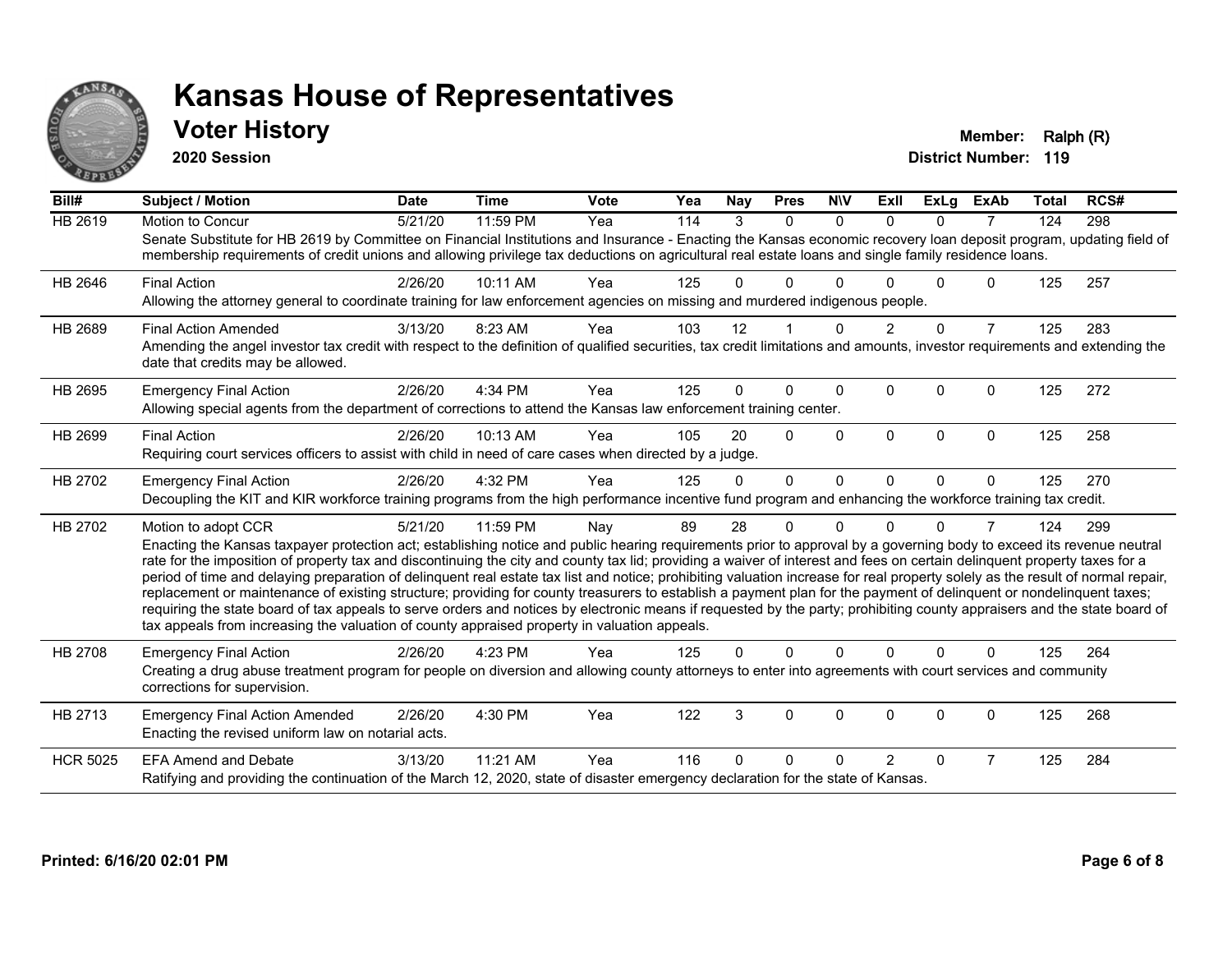

## **Voter History Member: Ralph (R)**

**2020 Session**

| Bill#           | <b>Subject / Motion</b>                                                                                                                                                                                                                                                                                                                                                                                                                                                                                                                                                                                                                                                                                                                                                                                                                                                                                                                                                                                       | <b>Date</b> | <b>Time</b> | <b>Vote</b> | Yea | <b>Nay</b> | <b>Pres</b> | <b>NIV</b> | <b>ExII</b>    | <b>ExLg</b> | <b>ExAb</b>    | <b>Total</b> | RCS# |
|-----------------|---------------------------------------------------------------------------------------------------------------------------------------------------------------------------------------------------------------------------------------------------------------------------------------------------------------------------------------------------------------------------------------------------------------------------------------------------------------------------------------------------------------------------------------------------------------------------------------------------------------------------------------------------------------------------------------------------------------------------------------------------------------------------------------------------------------------------------------------------------------------------------------------------------------------------------------------------------------------------------------------------------------|-------------|-------------|-------------|-----|------------|-------------|------------|----------------|-------------|----------------|--------------|------|
| <b>HB 2619</b>  | Motion to Concur<br>Senate Substitute for HB 2619 by Committee on Financial Institutions and Insurance - Enacting the Kansas economic recovery loan deposit program, updating field of<br>membership requirements of credit unions and allowing privilege tax deductions on agricultural real estate loans and single family residence loans.                                                                                                                                                                                                                                                                                                                                                                                                                                                                                                                                                                                                                                                                 | 5/21/20     | 11:59 PM    | Yea         | 114 | 3          | $\Omega$    | $\Omega$   | $\Omega$       | $\Omega$    | $\overline{7}$ | 124          | 298  |
| HB 2646         | <b>Final Action</b><br>Allowing the attorney general to coordinate training for law enforcement agencies on missing and murdered indigenous people.                                                                                                                                                                                                                                                                                                                                                                                                                                                                                                                                                                                                                                                                                                                                                                                                                                                           | 2/26/20     | 10:11 AM    | Yea         | 125 | 0          | 0           | ∩          |                | U           | 0              | 125          | 257  |
| HB 2689         | <b>Final Action Amended</b><br>Amending the angel investor tax credit with respect to the definition of qualified securities, tax credit limitations and amounts, investor requirements and extending the<br>date that credits may be allowed.                                                                                                                                                                                                                                                                                                                                                                                                                                                                                                                                                                                                                                                                                                                                                                | 3/13/20     | 8:23 AM     | Yea         | 103 | 12         |             | $\Omega$   | $\overline{2}$ | $\Omega$    | $\overline{7}$ | 125          | 283  |
| HB 2695         | <b>Emergency Final Action</b><br>Allowing special agents from the department of corrections to attend the Kansas law enforcement training center.                                                                                                                                                                                                                                                                                                                                                                                                                                                                                                                                                                                                                                                                                                                                                                                                                                                             | 2/26/20     | 4:34 PM     | Yea         | 125 | 0          | $\Omega$    | $\Omega$   | $\Omega$       | $\Omega$    | $\Omega$       | 125          | 272  |
| HB 2699         | <b>Final Action</b><br>Requiring court services officers to assist with child in need of care cases when directed by a judge.                                                                                                                                                                                                                                                                                                                                                                                                                                                                                                                                                                                                                                                                                                                                                                                                                                                                                 | 2/26/20     | 10:13 AM    | Yea         | 105 | 20         | $\Omega$    | $\Omega$   | $\Omega$       | $\Omega$    | $\Omega$       | 125          | 258  |
| HB 2702         | <b>Emergency Final Action</b><br>Decoupling the KIT and KIR workforce training programs from the high performance incentive fund program and enhancing the workforce training tax credit.                                                                                                                                                                                                                                                                                                                                                                                                                                                                                                                                                                                                                                                                                                                                                                                                                     | 2/26/20     | 4:32 PM     | Yea         | 125 | $\Omega$   | $\Omega$    | $\Omega$   | $\Omega$       | $\Omega$    | $\mathbf{0}$   | 125          | 270  |
| HB 2702         | Motion to adopt CCR<br>Enacting the Kansas taxpayer protection act; establishing notice and public hearing requirements prior to approval by a governing body to exceed its revenue neutral<br>rate for the imposition of property tax and discontinuing the city and county tax lid; providing a waiver of interest and fees on certain delinquent property taxes for a<br>period of time and delaying preparation of delinquent real estate tax list and notice; prohibiting valuation increase for real property solely as the result of normal repair,<br>replacement or maintenance of existing structure; providing for county treasurers to establish a payment plan for the payment of delinquent or nondelinquent taxes;<br>requiring the state board of tax appeals to serve orders and notices by electronic means if requested by the party; prohibiting county appraisers and the state board of<br>tax appeals from increasing the valuation of county appraised property in valuation appeals. | 5/21/20     | 11:59 PM    | Nay         | 89  | 28         | 0           | $\Omega$   | U              | 0           | 7              | 124          | 299  |
| HB 2708         | <b>Emergency Final Action</b><br>Creating a drug abuse treatment program for people on diversion and allowing county attorneys to enter into agreements with court services and community<br>corrections for supervision.                                                                                                                                                                                                                                                                                                                                                                                                                                                                                                                                                                                                                                                                                                                                                                                     | 2/26/20     | 4:23 PM     | Yea         | 125 | 0          | $\Omega$    | $\Omega$   | $\Omega$       | $\Omega$    | $\Omega$       | 125          | 264  |
| HB 2713         | <b>Emergency Final Action Amended</b><br>Enacting the revised uniform law on notarial acts.                                                                                                                                                                                                                                                                                                                                                                                                                                                                                                                                                                                                                                                                                                                                                                                                                                                                                                                   | 2/26/20     | 4:30 PM     | Yea         | 122 | 3          | 0           | 0          | $\Omega$       | 0           | 0              | 125          | 268  |
| <b>HCR 5025</b> | <b>EFA Amend and Debate</b><br>Ratifying and providing the continuation of the March 12, 2020, state of disaster emergency declaration for the state of Kansas.                                                                                                                                                                                                                                                                                                                                                                                                                                                                                                                                                                                                                                                                                                                                                                                                                                               | 3/13/20     | 11:21 AM    | Yea         | 116 | U          | 0           | ∩          | $\overline{2}$ | $\Omega$    | $\overline{7}$ | 125          | 284  |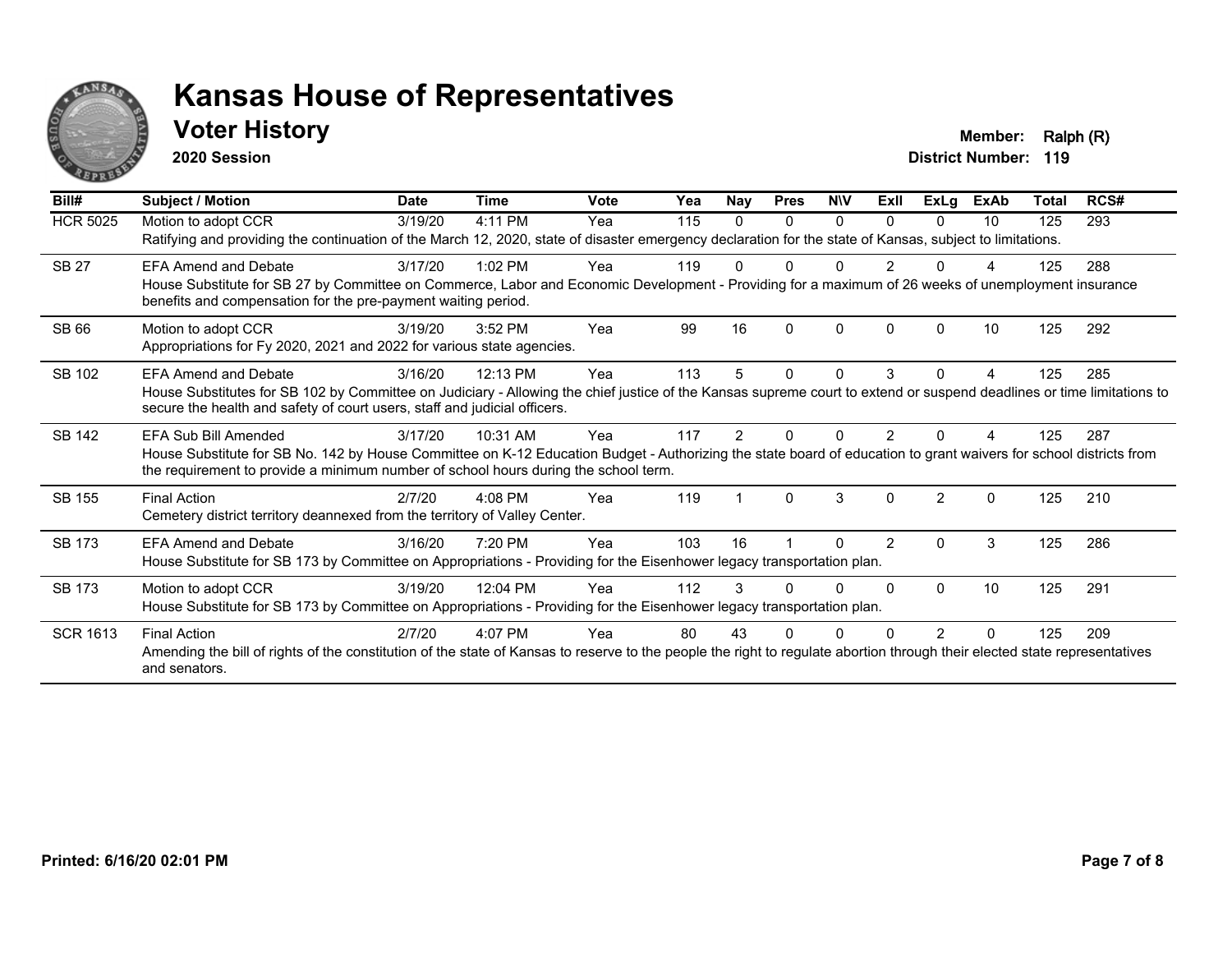

## **Voter History Member: Ralph (R)**

**2020 Session**

| Bill#           | Subject / Motion                                                                                                                                                                                                                                                                  | <b>Date</b> | <b>Time</b> | <b>Vote</b> | Yea | <b>Nay</b> | <b>Pres</b> | <b>NIV</b> | ExII           | <b>ExLg</b>    | <b>ExAb</b> | Total | RCS# |
|-----------------|-----------------------------------------------------------------------------------------------------------------------------------------------------------------------------------------------------------------------------------------------------------------------------------|-------------|-------------|-------------|-----|------------|-------------|------------|----------------|----------------|-------------|-------|------|
| <b>HCR 5025</b> | Motion to adopt CCR<br>Ratifying and providing the continuation of the March 12, 2020, state of disaster emergency declaration for the state of Kansas, subject to limitations.                                                                                                   | 3/19/20     | 4:11 PM     | Yea         | 115 | 0          | 0           | $\Omega$   | 0              | $\Omega$       | 10          | 125   | 293  |
| <b>SB 27</b>    | <b>EFA Amend and Debate</b><br>House Substitute for SB 27 by Committee on Commerce, Labor and Economic Development - Providing for a maximum of 26 weeks of unemployment insurance<br>benefits and compensation for the pre-payment waiting period.                               | 3/17/20     | $1:02$ PM   | Yea         | 119 |            |             |            |                |                |             | 125   | 288  |
| <b>SB66</b>     | Motion to adopt CCR<br>Appropriations for Fy 2020, 2021 and 2022 for various state agencies.                                                                                                                                                                                      | 3/19/20     | 3:52 PM     | Yea         | 99  | 16         | ŋ           | $\Omega$   | 0              | <sup>0</sup>   | 10          | 125   | 292  |
| SB 102          | <b>EFA Amend and Debate</b><br>House Substitutes for SB 102 by Committee on Judiciary - Allowing the chief justice of the Kansas supreme court to extend or suspend deadlines or time limitations to<br>secure the health and safety of court users, staff and judicial officers. | 3/16/20     | 12:13 PM    | Yea         | 113 | 5          | 0           | 0          | 3              | 0              | 4           | 125   | 285  |
| <b>SB 142</b>   | EFA Sub Bill Amended<br>House Substitute for SB No. 142 by House Committee on K-12 Education Budget - Authorizing the state board of education to grant waivers for school districts from<br>the requirement to provide a minimum number of school hours during the school term.  | 3/17/20     | 10:31 AM    | Yea         | 117 | 2          |             | O          |                |                |             | 125   | 287  |
| <b>SB 155</b>   | <b>Final Action</b><br>Cemetery district territory deannexed from the territory of Valley Center.                                                                                                                                                                                 | 2/7/20      | $4:08$ PM   | Yea         | 119 |            | $\Omega$    | 3          | $\Omega$       | $\mathfrak{p}$ | $\Omega$    | 125   | 210  |
| <b>SB 173</b>   | <b>EFA Amend and Debate</b><br>House Substitute for SB 173 by Committee on Appropriations - Providing for the Eisenhower legacy transportation plan.                                                                                                                              | 3/16/20     | 7:20 PM     | Yea         | 103 | 16         |             | O          | $\overline{2}$ | 0              | 3           | 125   | 286  |
| <b>SB 173</b>   | Motion to adopt CCR<br>House Substitute for SB 173 by Committee on Appropriations - Providing for the Eisenhower legacy transportation plan.                                                                                                                                      | 3/19/20     | 12:04 PM    | Yea         | 112 | 3          |             | $\Omega$   | 0              | $\Omega$       | 10          | 125   | 291  |
| <b>SCR 1613</b> | <b>Final Action</b><br>Amending the bill of rights of the constitution of the state of Kansas to reserve to the people the right to regulate abortion through their elected state representatives<br>and senators.                                                                | 2/7/20      | 4:07 PM     | Yea         | 80  | 43         |             |            |                |                |             | 125   | 209  |